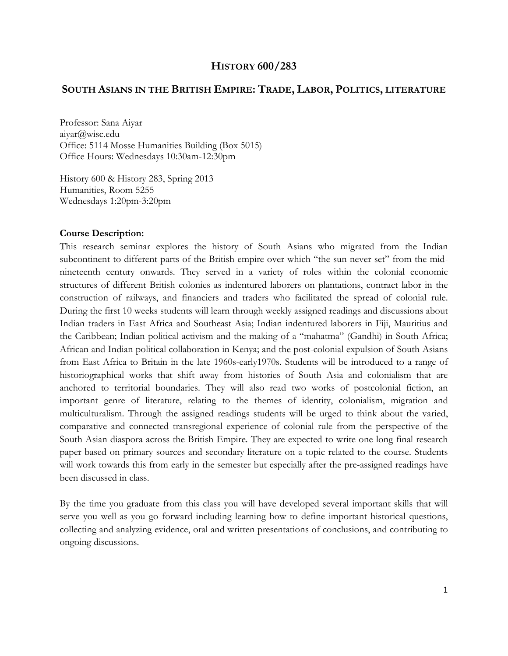# **HISTORY 600/283**

# **SOUTH ASIANS IN THE BRITISH EMPIRE: TRADE, LABOR, POLITICS, LITERATURE**

Professor: Sana Aiyar aiyar@wisc.edu Office: 5114 Mosse Humanities Building (Box 5015) Office Hours: Wednesdays 10:30am-12:30pm

History 600 & History 283, Spring 2013 Humanities, Room 5255 Wednesdays 1:20pm-3:20pm

### **Course Description:**

This research seminar explores the history of South Asians who migrated from the Indian subcontinent to different parts of the British empire over which "the sun never set" from the midnineteenth century onwards. They served in a variety of roles within the colonial economic structures of different British colonies as indentured laborers on plantations, contract labor in the construction of railways, and financiers and traders who facilitated the spread of colonial rule. During the first 10 weeks students will learn through weekly assigned readings and discussions about Indian traders in East Africa and Southeast Asia; Indian indentured laborers in Fiji, Mauritius and the Caribbean; Indian political activism and the making of a "mahatma" (Gandhi) in South Africa; African and Indian political collaboration in Kenya; and the post-colonial expulsion of South Asians from East Africa to Britain in the late 1960s-early1970s. Students will be introduced to a range of historiographical works that shift away from histories of South Asia and colonialism that are anchored to territorial boundaries. They will also read two works of postcolonial fiction, an important genre of literature, relating to the themes of identity, colonialism, migration and multiculturalism. Through the assigned readings students will be urged to think about the varied, comparative and connected transregional experience of colonial rule from the perspective of the South Asian diaspora across the British Empire. They are expected to write one long final research paper based on primary sources and secondary literature on a topic related to the course. Students will work towards this from early in the semester but especially after the pre-assigned readings have been discussed in class.

By the time you graduate from this class you will have developed several important skills that will serve you well as you go forward including learning how to define important historical questions, collecting and analyzing evidence, oral and written presentations of conclusions, and contributing to ongoing discussions.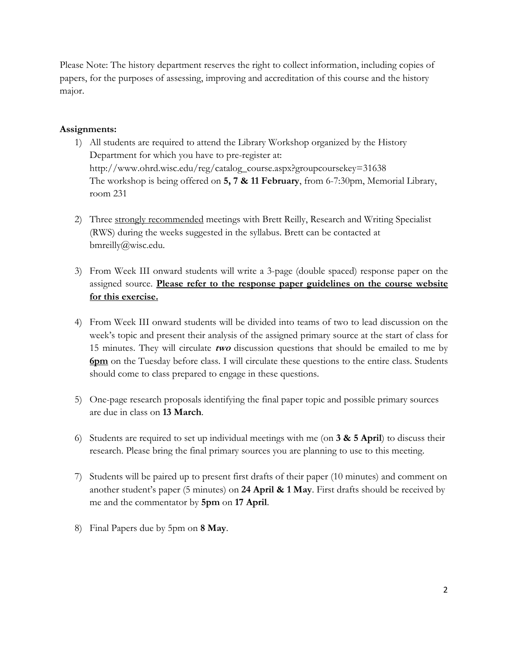Please Note: The history department reserves the right to collect information, including copies of papers, for the purposes of assessing, improving and accreditation of this course and the history major.

# **Assignments:**

- 1) All students are required to attend the Library Workshop organized by the History Department for which you have to pre-register at: http://www.ohrd.wisc.edu/reg/catalog\_course.aspx?groupcoursekey=31638 The workshop is being offered on **5, 7 & 11 February**, from 6-7:30pm, Memorial Library, room 231
- 2) Three strongly recommended meetings with Brett Reilly, Research and Writing Specialist (RWS) during the weeks suggested in the syllabus. Brett can be contacted at bmreilly@wisc.edu.
- 3) From Week III onward students will write a 3-page (double spaced) response paper on the assigned source. **Please refer to the response paper guidelines on the course website for this exercise.**
- 4) From Week III onward students will be divided into teams of two to lead discussion on the week's topic and present their analysis of the assigned primary source at the start of class for 15 minutes. They will circulate **two** discussion questions that should be emailed to me by **6pm** on the Tuesday before class. I will circulate these questions to the entire class. Students should come to class prepared to engage in these questions.
- 5) One-page research proposals identifying the final paper topic and possible primary sources are due in class on **13 March**.
- 6) Students are required to set up individual meetings with me (on **3 & 5 April**) to discuss their research. Please bring the final primary sources you are planning to use to this meeting.
- 7) Students will be paired up to present first drafts of their paper (10 minutes) and comment on another student's paper (5 minutes) on **24 April & 1 May**. First drafts should be received by me and the commentator by **5pm** on **17 April**.
- 8) Final Papers due by 5pm on **8 May**.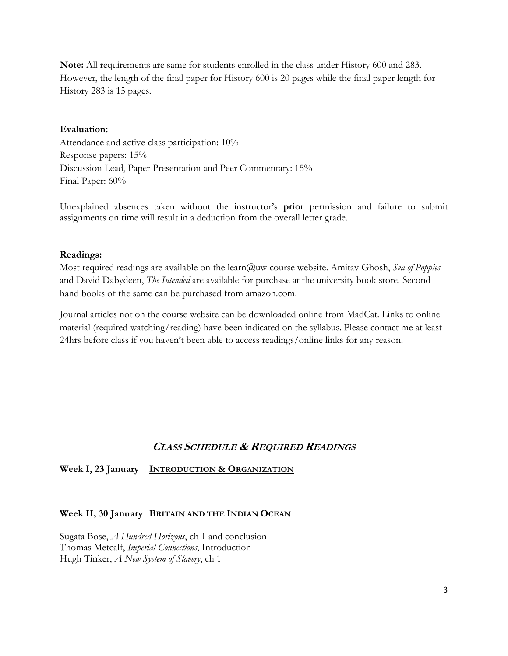**Note:** All requirements are same for students enrolled in the class under History 600 and 283. However, the length of the final paper for History 600 is 20 pages while the final paper length for History 283 is 15 pages.

### **Evaluation:**

Attendance and active class participation: 10% Response papers: 15% Discussion Lead, Paper Presentation and Peer Commentary: 15% Final Paper: 60%

Unexplained absences taken without the instructor's **prior** permission and failure to submit assignments on time will result in a deduction from the overall letter grade.

### **Readings:**

Most required readings are available on the learn@uw course website. Amitav Ghosh, *Sea of Poppies* and David Dabydeen, *The Intended* are available for purchase at the university book store. Second hand books of the same can be purchased from amazon.com.

Journal articles not on the course website can be downloaded online from MadCat. Links to online material (required watching/reading) have been indicated on the syllabus. Please contact me at least 24hrs before class if you haven't been able to access readings/online links for any reason.

# **CLASS SCHEDULE & REQUIRED READINGS**

# **Week I, 23 January INTRODUCTION & ORGANIZATION**

### **Week II, 30 January BRITAIN AND THE INDIAN OCEAN**

Sugata Bose, *A Hundred Horizons*, ch 1 and conclusion Thomas Metcalf, *Imperial Connections*, Introduction Hugh Tinker, *A New System of Slavery*, ch 1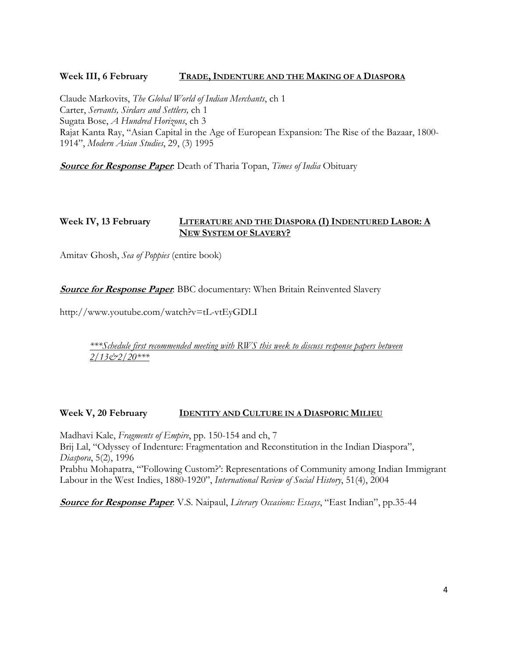# **Week III, 6 February TRADE, INDENTURE AND THE MAKING OF A DIASPORA**

Claude Markovits, *The Global World of Indian Merchants*, ch 1 Carter, *Servants, Sirdars and Settlers,* ch 1 Sugata Bose, *A Hundred Horizons*, ch 3 Rajat Kanta Ray, "Asian Capital in the Age of European Expansion: The Rise of the Bazaar, 1800- 1914", *Modern Asian Studies*, 29, (3) 1995

**Source for Response Paper**: Death of Tharia Topan, *Times of India* Obituary

### **Week IV, 13 February LITERATURE AND THE DIASPORA (I) INDENTURED LABOR: A NEW SYSTEM OF SLAVERY?**

Amitav Ghosh, *Sea of Poppies* (entire book)

**Source for Response Paper**: BBC documentary: When Britain Reinvented Slavery

http://www.youtube.com/watch?v=tL-vtEyGDLI

*\*\*\*Schedule first recommended meeting with RWS this week to discuss response papers between 2/13&2/20\*\*\** 

### **Week V, 20 February IDENTITY AND CULTURE IN A DIASPORIC MILIEU**

Madhavi Kale, *Fragments of Empire*, pp. 150-154 and ch, 7 Brij Lal, "Odyssey of Indenture: Fragmentation and Reconstitution in the Indian Diaspora", *Diaspora*, 5(2), 1996 Prabhu Mohapatra, "'Following Custom?': Representations of Community among Indian Immigrant Labour in the West Indies, 1880-1920", *International Review of Social History*, 51(4), 2004

**Source for Response Paper**: V.S. Naipaul, *Literary Occasions: Essays*, "East Indian", pp.35-44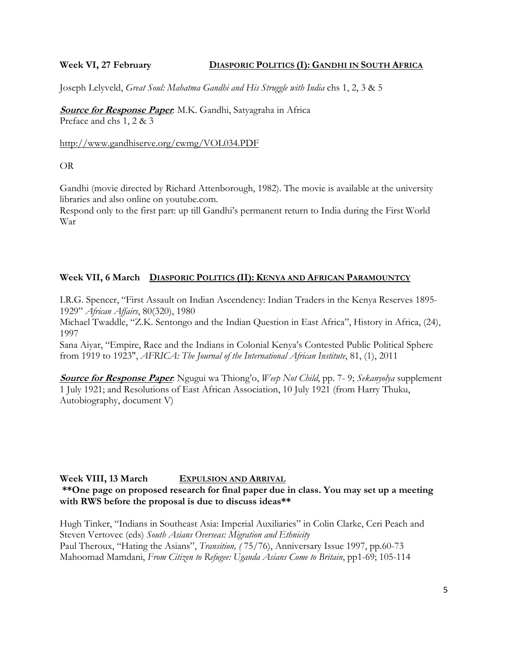### **Week VI, 27 February DIASPORIC POLITICS (I): GANDHI IN SOUTH AFRICA**

Joseph Lelyveld, *Great Soul: Mahatma Gandhi and His Struggle with India* chs 1, 2, 3 & 5

**Source for Response Paper**: M.K. Gandhi, Satyagraha in Africa Preface and chs 1, 2 & 3

### http://www.gandhiserve.org/cwmg/VOL034.PDF

OR

Gandhi (movie directed by Richard Attenborough, 1982). The movie is available at the university libraries and also online on youtube.com.

Respond only to the first part: up till Gandhi's permanent return to India during the First World War

# **Week VII, 6 March DIASPORIC POLITICS (II): KENYA AND AFRICAN PARAMOUNTCY**

I.R.G. Spencer, "First Assault on Indian Ascendency: Indian Traders in the Kenya Reserves 1895- 1929" *African Affairs*, 80(320), 1980

Michael Twaddle, "Z.K. Sentongo and the Indian Question in East Africa", History in Africa, (24), 1997

Sana Aiyar, "Empire, Race and the Indians in Colonial Kenya's Contested Public Political Sphere from 1919 to 1923", *AFRICA: The Journal of the International African Institute*, 81, (1), 2011

**Source for Response Paper**: Ngugui wa Thiong'o, *Weep Not Child*, pp. 7- 9; *Sekanyolya* supplement 1 July 1921; and Resolutions of East African Association, 10 July 1921 (from Harry Thuku, Autobiography, document V)

# **Week VIII, 13 March EXPULSION AND ARRIVAL**

# **\*\*One page on proposed research for final paper due in class. You may set up a meeting with RWS before the proposal is due to discuss ideas\*\***

Hugh Tinker, "Indians in Southeast Asia: Imperial Auxiliaries" in Colin Clarke, Ceri Peach and Steven Vertovec (eds) *South Asians Overseas: Migration and Ethnicity*  Paul Theroux, "Hating the Asians", *Transition, (* 75/76), Anniversary Issue 1997, pp.60-73 Mahoomad Mamdani, *From Citizen to Refugee: Uganda Asians Come to Britain*, pp1-69; 105-114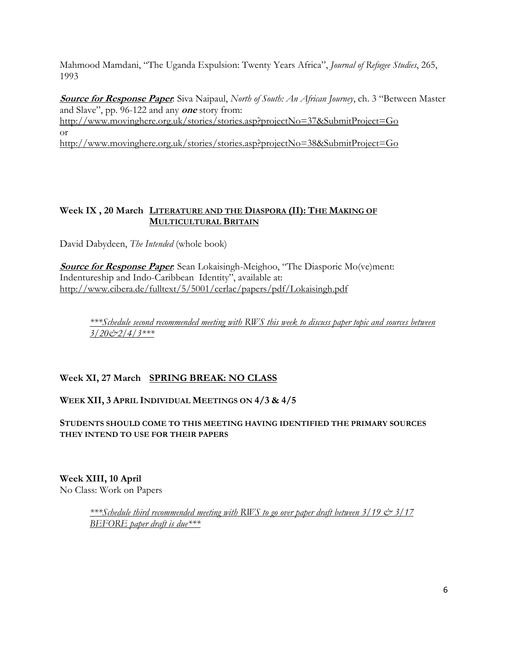Mahmood Mamdani, "The Uganda Expulsion: Twenty Years Africa", *Journal of Refugee Studies*, 265, 1993

**Source for Response Paper**: Siva Naipaul, *North of South: An African Journey*, ch. 3 "Between Master and Slave", pp. 96-122 and any **one** story from: http://www.movinghere.org.uk/stories/stories.asp?projectNo=37&SubmitProject=Go or

http://www.movinghere.org.uk/stories/stories.asp?projectNo=38&SubmitProject=Go

# **Week IX , 20 March LITERATURE AND THE DIASPORA (II): THE MAKING OF MULTICULTURAL BRITAIN**

David Dabydeen, *The Intended* (whole book)

**Source for Response Paper**: Sean Lokaisingh-Meighoo, "The Diasporic Mo(ve)ment: Indentureship and Indo-Caribbean Identity", available at: http://www.cibera.de/fulltext/5/5001/cerlac/papers/pdf/Lokaisingh.pdf

*\*\*\*Schedule second recommended meeting with RWS this week to discuss paper topic and sources between 3/20&2/4/3\*\*\** 

# **Week XI, 27 March SPRING BREAK: NO CLASS**

# **WEEK XII, 3 APRIL INDIVIDUAL MEETINGS ON 4/3 & 4/5**

**STUDENTS SHOULD COME TO THIS MEETING HAVING IDENTIFIED THE PRIMARY SOURCES THEY INTEND TO USE FOR THEIR PAPERS**

**Week XIII, 10 April** No Class: Work on Papers

> *\*\*\*Schedule third recommended meeting with RWS to go over paper draft between 3/19 & 3/17 BEFORE paper draft is due\*\*\**